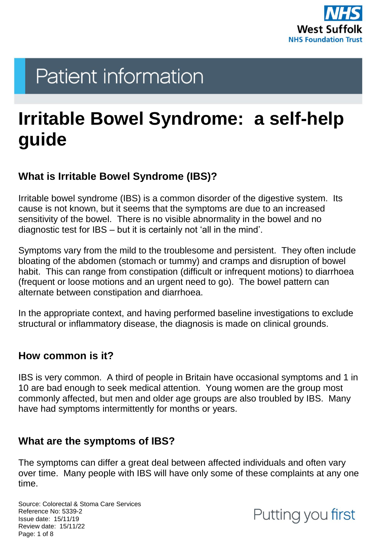

# **Patient information**

## **Irritable Bowel Syndrome: a self-help guide**

## **What is Irritable Bowel Syndrome (IBS)?**

Irritable bowel syndrome (IBS) is a common disorder of the digestive system. Its cause is not known, but it seems that the symptoms are due to an increased sensitivity of the bowel. There is no visible abnormality in the bowel and no diagnostic test for IBS – but it is certainly not 'all in the mind'.

Symptoms vary from the mild to the troublesome and persistent. They often include bloating of the abdomen (stomach or tummy) and cramps and disruption of bowel habit. This can range from constipation (difficult or infrequent motions) to diarrhoea (frequent or loose motions and an urgent need to go). The bowel pattern can alternate between constipation and diarrhoea.

In the appropriate context, and having performed baseline investigations to exclude structural or inflammatory disease, the diagnosis is made on clinical grounds.

#### **How common is it?**

IBS is very common. A third of people in Britain have occasional symptoms and 1 in 10 are bad enough to seek medical attention. Young women are the group most commonly affected, but men and older age groups are also troubled by IBS. Many have had symptoms intermittently for months or years.

## **What are the symptoms of IBS?**

The symptoms can differ a great deal between affected individuals and often vary over time. Many people with IBS will have only some of these complaints at any one time.

Source: Colorectal & Stoma Care Services Reference No: 5339-2 Issue date: 15/11/19 Review date: 15/11/22 Page: 1 of 8

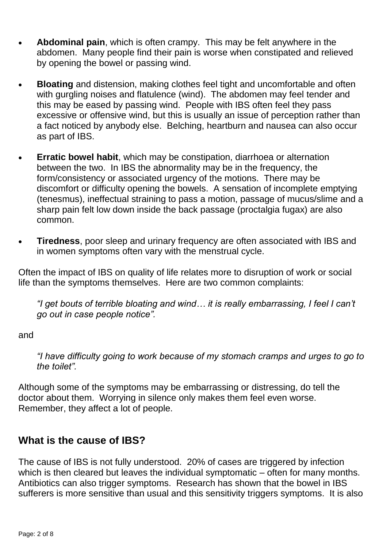- **Abdominal pain**, which is often crampy. This may be felt anywhere in the abdomen. Many people find their pain is worse when constipated and relieved by opening the bowel or passing wind.
- **Bloating** and distension, making clothes feel tight and uncomfortable and often with gurgling noises and flatulence (wind). The abdomen may feel tender and this may be eased by passing wind. People with IBS often feel they pass excessive or offensive wind, but this is usually an issue of perception rather than a fact noticed by anybody else. Belching, heartburn and nausea can also occur as part of IBS.
- **Erratic bowel habit**, which may be constipation, diarrhoea or alternation between the two. In IBS the abnormality may be in the frequency, the form/consistency or associated urgency of the motions. There may be discomfort or difficulty opening the bowels. A sensation of incomplete emptying (tenesmus), ineffectual straining to pass a motion, passage of mucus/slime and a sharp pain felt low down inside the back passage (proctalgia fugax) are also common.
- **Tiredness**, poor sleep and urinary frequency are often associated with IBS and in women symptoms often vary with the menstrual cycle.

Often the impact of IBS on quality of life relates more to disruption of work or social life than the symptoms themselves. Here are two common complaints:

*"I get bouts of terrible bloating and wind… it is really embarrassing, I feel I can't go out in case people notice".*

and

*"I have difficulty going to work because of my stomach cramps and urges to go to the toilet".*

Although some of the symptoms may be embarrassing or distressing, do tell the doctor about them. Worrying in silence only makes them feel even worse. Remember, they affect a lot of people.

#### **What is the cause of IBS?**

The cause of IBS is not fully understood. 20% of cases are triggered by infection which is then cleared but leaves the individual symptomatic – often for many months. Antibiotics can also trigger symptoms. Research has shown that the bowel in IBS sufferers is more sensitive than usual and this sensitivity triggers symptoms. It is also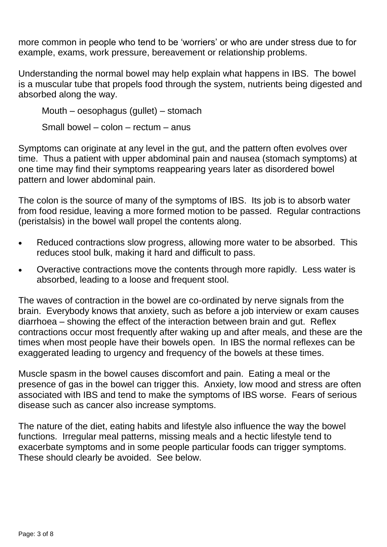more common in people who tend to be 'worriers' or who are under stress due to for example, exams, work pressure, bereavement or relationship problems.

Understanding the normal bowel may help explain what happens in IBS. The bowel is a muscular tube that propels food through the system, nutrients being digested and absorbed along the way.

Mouth – oesophagus (gullet) – stomach Small bowel – colon – rectum – anus

Symptoms can originate at any level in the gut, and the pattern often evolves over time. Thus a patient with upper abdominal pain and nausea (stomach symptoms) at one time may find their symptoms reappearing years later as disordered bowel pattern and lower abdominal pain.

The colon is the source of many of the symptoms of IBS. Its job is to absorb water from food residue, leaving a more formed motion to be passed. Regular contractions (peristalsis) in the bowel wall propel the contents along.

- Reduced contractions slow progress, allowing more water to be absorbed. This reduces stool bulk, making it hard and difficult to pass.
- Overactive contractions move the contents through more rapidly. Less water is absorbed, leading to a loose and frequent stool.

The waves of contraction in the bowel are co-ordinated by nerve signals from the brain. Everybody knows that anxiety, such as before a job interview or exam causes diarrhoea – showing the effect of the interaction between brain and gut. Reflex contractions occur most frequently after waking up and after meals, and these are the times when most people have their bowels open. In IBS the normal reflexes can be exaggerated leading to urgency and frequency of the bowels at these times.

Muscle spasm in the bowel causes discomfort and pain. Eating a meal or the presence of gas in the bowel can trigger this. Anxiety, low mood and stress are often associated with IBS and tend to make the symptoms of IBS worse. Fears of serious disease such as cancer also increase symptoms.

The nature of the diet, eating habits and lifestyle also influence the way the bowel functions. Irregular meal patterns, missing meals and a hectic lifestyle tend to exacerbate symptoms and in some people particular foods can trigger symptoms. These should clearly be avoided. See below.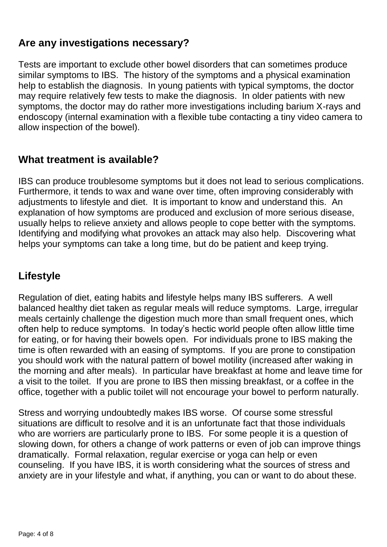## **Are any investigations necessary?**

Tests are important to exclude other bowel disorders that can sometimes produce similar symptoms to IBS. The history of the symptoms and a physical examination help to establish the diagnosis. In young patients with typical symptoms, the doctor may require relatively few tests to make the diagnosis. In older patients with new symptoms, the doctor may do rather more investigations including barium X-rays and endoscopy (internal examination with a flexible tube contacting a tiny video camera to allow inspection of the bowel).

## **What treatment is available?**

IBS can produce troublesome symptoms but it does not lead to serious complications. Furthermore, it tends to wax and wane over time, often improving considerably with adjustments to lifestyle and diet. It is important to know and understand this. An explanation of how symptoms are produced and exclusion of more serious disease, usually helps to relieve anxiety and allows people to cope better with the symptoms. Identifying and modifying what provokes an attack may also help. Discovering what helps your symptoms can take a long time, but do be patient and keep trying.

## **Lifestyle**

Regulation of diet, eating habits and lifestyle helps many IBS sufferers. A well balanced healthy diet taken as regular meals will reduce symptoms. Large, irregular meals certainly challenge the digestion much more than small frequent ones, which often help to reduce symptoms. In today's hectic world people often allow little time for eating, or for having their bowels open. For individuals prone to IBS making the time is often rewarded with an easing of symptoms. If you are prone to constipation you should work with the natural pattern of bowel motility (increased after waking in the morning and after meals). In particular have breakfast at home and leave time for a visit to the toilet. If you are prone to IBS then missing breakfast, or a coffee in the office, together with a public toilet will not encourage your bowel to perform naturally.

Stress and worrying undoubtedly makes IBS worse. Of course some stressful situations are difficult to resolve and it is an unfortunate fact that those individuals who are worriers are particularly prone to IBS. For some people it is a question of slowing down, for others a change of work patterns or even of job can improve things dramatically. Formal relaxation, regular exercise or yoga can help or even counseling. If you have IBS, it is worth considering what the sources of stress and anxiety are in your lifestyle and what, if anything, you can or want to do about these.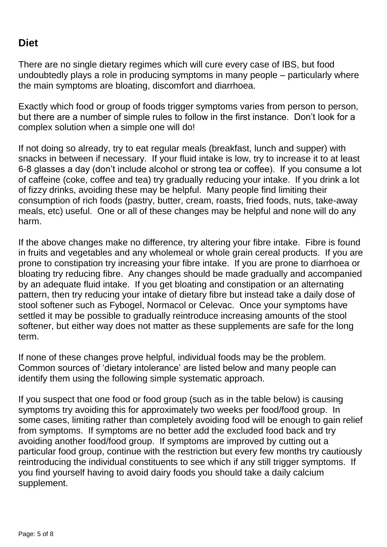## **Diet**

There are no single dietary regimes which will cure every case of IBS, but food undoubtedly plays a role in producing symptoms in many people – particularly where the main symptoms are bloating, discomfort and diarrhoea.

Exactly which food or group of foods trigger symptoms varies from person to person, but there are a number of simple rules to follow in the first instance. Don't look for a complex solution when a simple one will do!

If not doing so already, try to eat regular meals (breakfast, lunch and supper) with snacks in between if necessary. If your fluid intake is low, try to increase it to at least 6-8 glasses a day (don't include alcohol or strong tea or coffee). If you consume a lot of caffeine (coke, coffee and tea) try gradually reducing your intake. If you drink a lot of fizzy drinks, avoiding these may be helpful. Many people find limiting their consumption of rich foods (pastry, butter, cream, roasts, fried foods, nuts, take-away meals, etc) useful. One or all of these changes may be helpful and none will do any harm.

If the above changes make no difference, try altering your fibre intake. Fibre is found in fruits and vegetables and any wholemeal or whole grain cereal products. If you are prone to constipation try increasing your fibre intake. If you are prone to diarrhoea or bloating try reducing fibre. Any changes should be made gradually and accompanied by an adequate fluid intake. If you get bloating and constipation or an alternating pattern, then try reducing your intake of dietary fibre but instead take a daily dose of stool softener such as Fybogel, Normacol or Celevac. Once your symptoms have settled it may be possible to gradually reintroduce increasing amounts of the stool softener, but either way does not matter as these supplements are safe for the long term.

If none of these changes prove helpful, individual foods may be the problem. Common sources of 'dietary intolerance' are listed below and many people can identify them using the following simple systematic approach.

If you suspect that one food or food group (such as in the table below) is causing symptoms try avoiding this for approximately two weeks per food/food group. In some cases, limiting rather than completely avoiding food will be enough to gain relief from symptoms. If symptoms are no better add the excluded food back and try avoiding another food/food group. If symptoms are improved by cutting out a particular food group, continue with the restriction but every few months try cautiously reintroducing the individual constituents to see which if any still trigger symptoms. If you find yourself having to avoid dairy foods you should take a daily calcium supplement.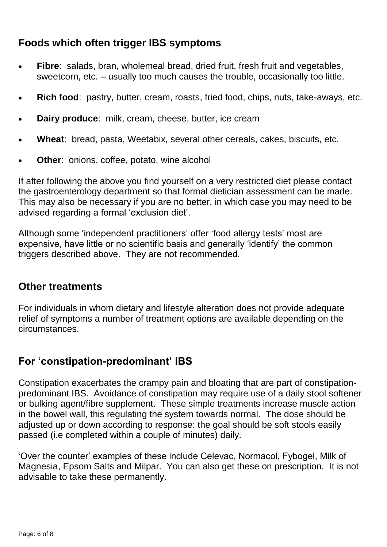## **Foods which often trigger IBS symptoms**

- **Fibre**: salads, bran, wholemeal bread, dried fruit, fresh fruit and vegetables, sweetcorn, etc. – usually too much causes the trouble, occasionally too little.
- **Rich food**: pastry, butter, cream, roasts, fried food, chips, nuts, take-aways, etc.
- **Dairy produce**: milk, cream, cheese, butter, ice cream
- **Wheat**: bread, pasta, Weetabix, several other cereals, cakes, biscuits, etc.
- **Other:** onions, coffee, potato, wine alcohol

If after following the above you find yourself on a very restricted diet please contact the gastroenterology department so that formal dietician assessment can be made. This may also be necessary if you are no better, in which case you may need to be advised regarding a formal 'exclusion diet'.

Although some 'independent practitioners' offer 'food allergy tests' most are expensive, have little or no scientific basis and generally 'identify' the common triggers described above. They are not recommended.

#### **Other treatments**

For individuals in whom dietary and lifestyle alteration does not provide adequate relief of symptoms a number of treatment options are available depending on the circumstances.

## **For 'constipation-predominant' IBS**

Constipation exacerbates the crampy pain and bloating that are part of constipationpredominant IBS. Avoidance of constipation may require use of a daily stool softener or bulking agent/fibre supplement. These simple treatments increase muscle action in the bowel wall, this regulating the system towards normal. The dose should be adjusted up or down according to response: the goal should be soft stools easily passed (i.e completed within a couple of minutes) daily.

'Over the counter' examples of these include Celevac, Normacol, Fybogel, Milk of Magnesia, Epsom Salts and Milpar. You can also get these on prescription. It is not advisable to take these permanently.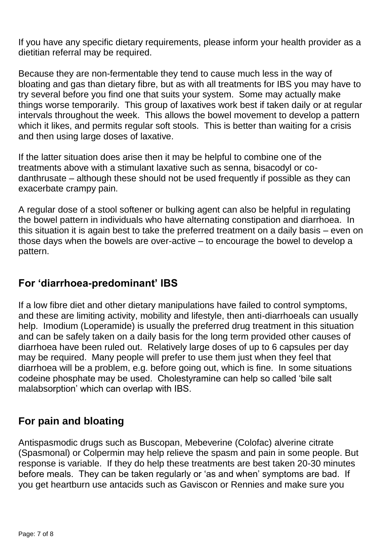If you have any specific dietary requirements, please inform your health provider as a dietitian referral may be required.

Because they are non-fermentable they tend to cause much less in the way of bloating and gas than dietary fibre, but as with all treatments for IBS you may have to try several before you find one that suits your system. Some may actually make things worse temporarily. This group of laxatives work best if taken daily or at regular intervals throughout the week. This allows the bowel movement to develop a pattern which it likes, and permits regular soft stools. This is better than waiting for a crisis and then using large doses of laxative.

If the latter situation does arise then it may be helpful to combine one of the treatments above with a stimulant laxative such as senna, bisacodyl or codanthrusate – although these should not be used frequently if possible as they can exacerbate crampy pain.

A regular dose of a stool softener or bulking agent can also be helpful in regulating the bowel pattern in individuals who have alternating constipation and diarrhoea. In this situation it is again best to take the preferred treatment on a daily basis – even on those days when the bowels are over-active – to encourage the bowel to develop a pattern.

## **For 'diarrhoea-predominant' IBS**

If a low fibre diet and other dietary manipulations have failed to control symptoms, and these are limiting activity, mobility and lifestyle, then anti-diarrhoeals can usually help. Imodium (Loperamide) is usually the preferred drug treatment in this situation and can be safely taken on a daily basis for the long term provided other causes of diarrhoea have been ruled out. Relatively large doses of up to 6 capsules per day may be required. Many people will prefer to use them just when they feel that diarrhoea will be a problem, e.g. before going out, which is fine. In some situations codeine phosphate may be used. Cholestyramine can help so called 'bile salt malabsorption' which can overlap with IBS.

## **For pain and bloating**

Antispasmodic drugs such as Buscopan, Mebeverine (Colofac) alverine citrate (Spasmonal) or Colpermin may help relieve the spasm and pain in some people. But response is variable. If they do help these treatments are best taken 20-30 minutes before meals. They can be taken regularly or 'as and when' symptoms are bad. If you get heartburn use antacids such as Gaviscon or Rennies and make sure you